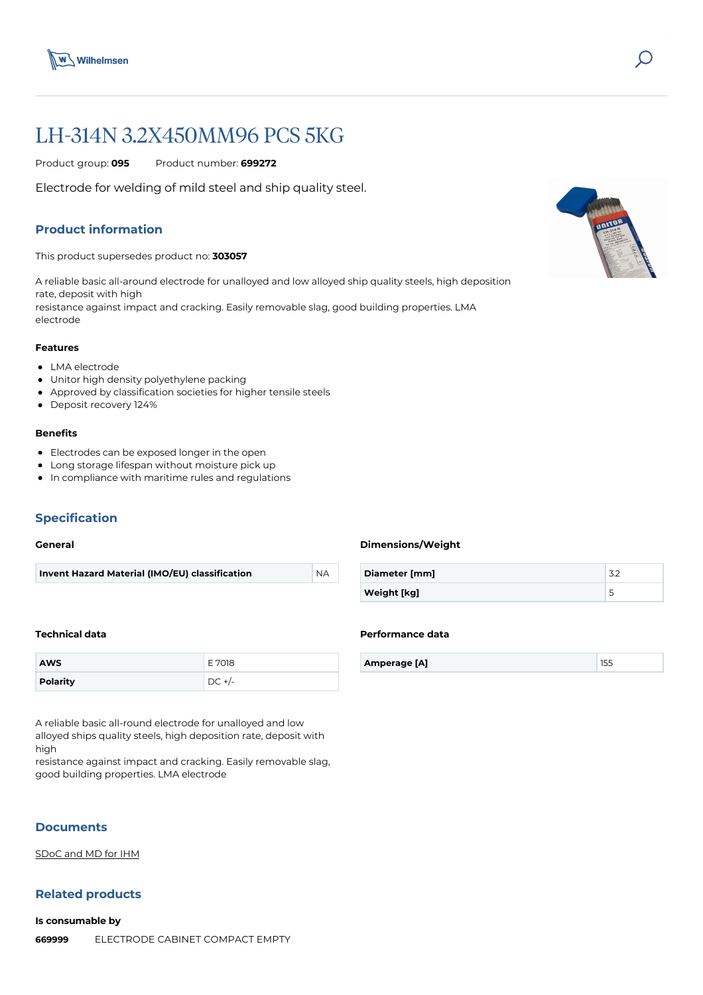



# LH-314N 3.2X450MM96 PCS 5KG

Product group: **095** Product number: **699272**

Electrode for welding of mild steel and ship quality steel.

# **Product information**

This product supersedes product no: **303057**

A reliable basic all-around electrode for unalloyed and low alloyed ship quality steels, high deposition rate, deposit with high resistance against impact and cracking. Easily removable slag, good building properties. LMA electrode

#### **Features**

- LMA electrode
- Unitor high density polyethylene packing
- Approved by classification societies for higher tensile steels
- Deposit recovery 124%

## **Benefits**

- Electrodes can be exposed longer in the open
- Long storage lifespan without moisture pick up
- In compliance with maritime rules and regulations

# **Specification**

#### **General**

| Invent Hazard Material (IMO/EU) classification | `NA |
|------------------------------------------------|-----|
|                                                |     |

## **Dimensions/Weight**

**Performance data**

| Diameter [mm]      |  |
|--------------------|--|
| <b>Weight [kg]</b> |  |

**Amperage [A]** 155

#### **Technical data**

| <b>AWS</b> | ำ18    |
|------------|--------|
| Polarity   | -<br>◡ |

A reliable basic all-round electrode for unalloyed and low alloyed ships quality steels, high deposition rate, deposit with high

resistance against impact and cracking. Easily removable slag, good building properties. LMA electrode

## **Documents**

[SDoC and MD for IHM](https://media.bluestonepim.com/e4deb258-8122-4fdf-9d12-b42f3e0e812d/e4fa53ec-6b36-4cea-bb65-790c60f10082/BMTFx4hurJlfUOnEhI4EN8vQE/278F2enqqS01jNEJSGLyZlKQL.pdf)

# **Related products**

**Is consumable by 669999** [ELECTRODE CABINET COMPACT EMPTY](https://www.wilhelmsen.com/product-catalogue/products/welding/arc-welding-consumables-and-storing/electrode-storing-cabinets/electrode-cabinet-compact-empty/?epieditmode=true)